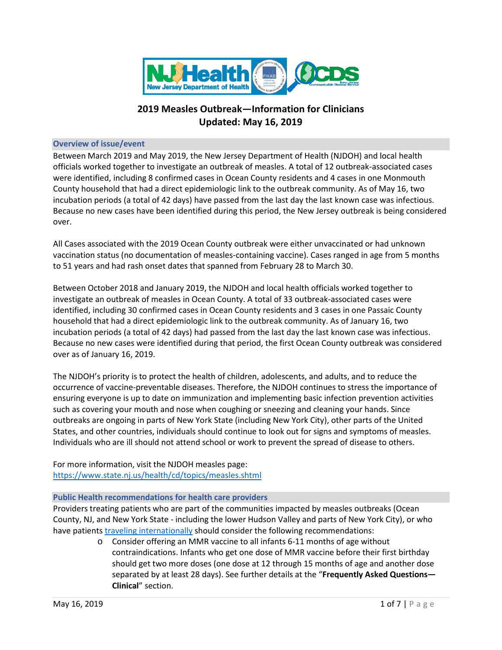

# **2019 Measles Outbreak—Information for Clinicians Updated: May 16, 2019**

#### **Overview of issue/event**

Between March 2019 and May 2019, the New Jersey Department of Health (NJDOH) and local health officials worked together to investigate an outbreak of measles. A total of 12 outbreak-associated cases were identified, including 8 confirmed cases in Ocean County residents and 4 cases in one Monmouth County household that had a direct epidemiologic link to the outbreak community. As of May 16, two incubation periods (a total of 42 days) have passed from the last day the last known case was infectious. Because no new cases have been identified during this period, the New Jersey outbreak is being considered over.

All Cases associated with the 2019 Ocean County outbreak were either unvaccinated or had unknown vaccination status (no documentation of measles-containing vaccine). Cases ranged in age from 5 months to 51 years and had rash onset dates that spanned from February 28 to March 30.

Between October 2018 and January 2019, the NJDOH and local health officials worked together to investigate an outbreak of measles in Ocean County. A total of 33 outbreak-associated cases were identified, including 30 confirmed cases in Ocean County residents and 3 cases in one Passaic County household that had a direct epidemiologic link to the outbreak community. As of January 16, two incubation periods (a total of 42 days) had passed from the last day the last known case was infectious. Because no new cases were identified during that period, the first Ocean County outbreak was considered over as of January 16, 2019.

The NJDOH's priority is to protect the health of children, adolescents, and adults, and to reduce the occurrence of vaccine-preventable diseases. Therefore, the NJDOH continues to stress the importance of ensuring everyone is up to date on immunization and implementing basic infection prevention activities such as covering your mouth and nose when coughing or sneezing and cleaning your hands. Since outbreaks are ongoing in parts of New York State (including New York City), other parts of the United States, and other countries, individuals should continue to look out for signs and symptoms of measles. Individuals who are ill should not attend school or work to prevent the spread of disease to others.

For more information, visit the NJDOH measles page: <https://www.state.nj.us/health/cd/topics/measles.shtml>

#### **Public Health recommendations for health care providers**

Providers treating patients who are part of the communities impacted by measles outbreaks (Ocean County, NJ, and New York State - including the lower Hudson Valley and parts of New York City), or who have patients [traveling internationally](https://www.cdc.gov/measles/travelers.html) should consider the following recommendations:

> o Consider offering an MMR vaccine to all infants 6-11 months of age without contraindications. Infants who get one dose of MMR vaccine before their first birthday should get two more doses (one dose at 12 through 15 months of age and another dose separated by at least 28 days). See further details at the "**Frequently Asked Questions— Clinical**" section.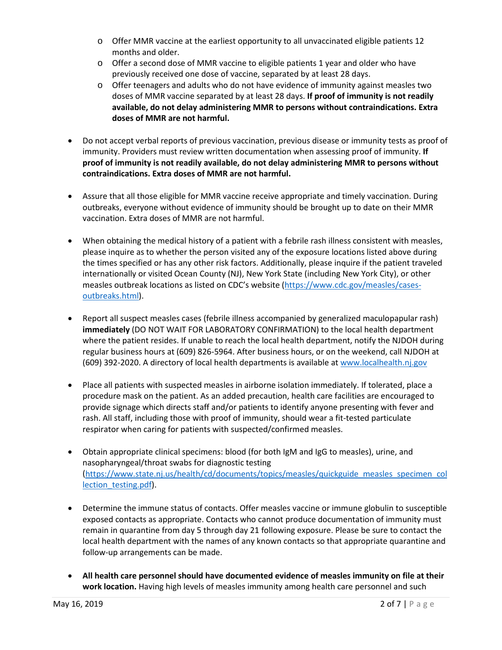- $\circ$  Offer MMR vaccine at the earliest opportunity to all unvaccinated eligible patients 12 months and older.
- o Offer a second dose of MMR vaccine to eligible patients 1 year and older who have previously received one dose of vaccine, separated by at least 28 days.
- o Offer teenagers and adults who do not have evidence of immunity against measles two doses of MMR vaccine separated by at least 28 days. **If proof of immunity is not readily available, do not delay administering MMR to persons without contraindications. Extra doses of MMR are not harmful.**
- Do not accept verbal reports of previous vaccination, previous disease or immunity tests as proof of immunity. Providers must review written documentation when assessing proof of immunity. **If proof of immunity is not readily available, do not delay administering MMR to persons without contraindications. Extra doses of MMR are not harmful.**
- Assure that all those eligible for MMR vaccine receive appropriate and timely vaccination. During outbreaks, everyone without evidence of immunity should be brought up to date on their MMR vaccination. Extra doses of MMR are not harmful.
- When obtaining the medical history of a patient with a febrile rash illness consistent with measles, please inquire as to whether the person visited any of the exposure locations listed above during the times specified or has any other risk factors. Additionally, please inquire if the patient traveled internationally or visited Ocean County (NJ), New York State (including New York City), or other measles outbreak locations as listed on CDC's website [\(https://www.cdc.gov/measles/cases](https://www.cdc.gov/measles/cases-outbreaks.html)[outbreaks.html\)](https://www.cdc.gov/measles/cases-outbreaks.html).
- Report all suspect measles cases (febrile illness accompanied by generalized maculopapular rash) **immediately** (DO NOT WAIT FOR LABORATORY CONFIRMATION) to the local health department where the patient resides. If unable to reach the local health department, notify the NJDOH during regular business hours at (609) 826-5964. After business hours, or on the weekend, call NJDOH at (609) 392-2020. A directory of local health departments is available at [www.localhealth.nj.gov](http://www.localhealth.nj.gov/)
- Place all patients with suspected measles in airborne isolation immediately. If tolerated, place a procedure mask on the patient. As an added precaution, health care facilities are encouraged to provide signage which directs staff and/or patients to identify anyone presenting with fever and rash. All staff, including those with proof of immunity, should wear a fit-tested particulate respirator when caring for patients with suspected/confirmed measles.
- Obtain appropriate clinical specimens: blood (for both IgM and IgG to measles), urine, and nasopharyngeal/throat swabs for diagnostic testing [\(https://www.state.nj.us/health/cd/documents/topics/measles/quickguide\\_measles\\_specimen\\_col](https://www.state.nj.us/health/cd/documents/topics/measles/quickguide_measles_specimen_collection_testing.pdf) lection testing.pdf).
- Determine the immune status of contacts. Offer measles vaccine or immune globulin to susceptible exposed contacts as appropriate. Contacts who cannot produce documentation of immunity must remain in quarantine from day 5 through day 21 following exposure. Please be sure to contact the local health department with the names of any known contacts so that appropriate quarantine and follow-up arrangements can be made.
- **All health care personnel should have documented evidence of measles immunity on file at their work location.** Having high levels of measles immunity among health care personnel and such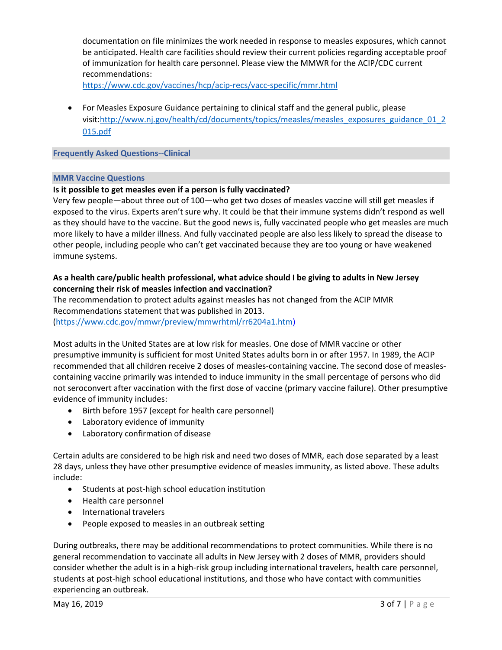documentation on file minimizes the work needed in response to measles exposures, which cannot be anticipated. Health care facilities should review their current policies regarding acceptable proof of immunization for health care personnel. Please view the MMWR for the ACIP/CDC current recommendations:

<https://www.cdc.gov/vaccines/hcp/acip-recs/vacc-specific/mmr.html>

• For Measles Exposure Guidance pertaining to clinical staff and the general public, please visit[:http://www.nj.gov/health/cd/documents/topics/measles/measles\\_exposures\\_guidance\\_01\\_2](http://www.nj.gov/health/cd/documents/topics/measles/measles_exposures_guidance_01_2015.pdf) [015.pdf](http://www.nj.gov/health/cd/documents/topics/measles/measles_exposures_guidance_01_2015.pdf)

#### **Frequently Asked Questions--Clinical**

#### **MMR Vaccine Questions**

#### **Is it possible to get measles even if a person is fully vaccinated?**

Very few people—about three out of 100—who get two doses of measles vaccine will still get measles if exposed to the virus. Experts aren't sure why. It could be that their immune systems didn't respond as well as they should have to the vaccine. But the good news is, fully vaccinated people who get measles are much more likely to have a milder illness. And fully vaccinated people are also less likely to spread the disease to other people, including people who can't get vaccinated because they are too young or have weakened immune systems.

# **As a health care/public health professional, what advice should I be giving to adults in New Jersey concerning their risk of measles infection and vaccination?**

The recommendation to protect adults against measles has not changed from the ACIP MMR Recommendations statement that was published in 2013.

[\(https://www.cdc.gov/mmwr/preview/mmwrhtml/rr6204a1.htm\)](https://www.cdc.gov/mmwr/preview/mmwrhtml/rr6204a1.htm)

Most adults in the United States are at low risk for measles. One dose of MMR vaccine or other presumptive immunity is sufficient for most United States adults born in or after 1957. In 1989, the ACIP recommended that all children receive 2 doses of measles-containing vaccine. The second dose of measlescontaining vaccine primarily was intended to induce immunity in the small percentage of persons who did not seroconvert after vaccination with the first dose of vaccine (primary vaccine failure). Other presumptive evidence of immunity includes:

- Birth before 1957 (except for health care personnel)
- Laboratory evidence of immunity
- Laboratory confirmation of disease

Certain adults are considered to be high risk and need two doses of MMR, each dose separated by a least 28 days, unless they have other presumptive evidence of measles immunity, as listed above. These adults include:

- Students at post-high school education institution
- Health care personnel
- International travelers
- People exposed to measles in an outbreak setting

During outbreaks, there may be additional recommendations to protect communities. While there is no general recommendation to vaccinate all adults in New Jersey with 2 doses of MMR, providers should consider whether the adult is in a high-risk group including international travelers, health care personnel, students at post-high school educational institutions, and those who have contact with communities experiencing an outbreak.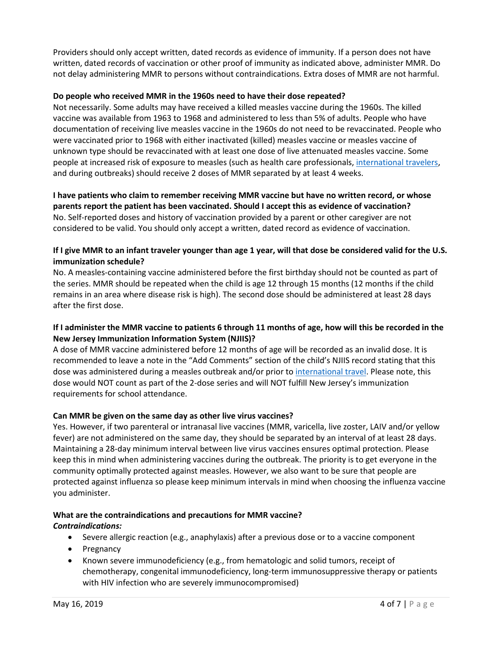Providers should only accept written, dated records as evidence of immunity. If a person does not have written, dated records of vaccination or other proof of immunity as indicated above, administer MMR. Do not delay administering MMR to persons without contraindications. Extra doses of MMR are not harmful.

#### **Do people who received MMR in the 1960s need to have their dose repeated?**

Not necessarily. Some adults may have received a killed measles vaccine during the 1960s. The killed vaccine was available from 1963 to 1968 and administered to less than 5% of adults. People who have documentation of receiving live measles vaccine in the 1960s do not need to be revaccinated. People who were vaccinated prior to 1968 with either inactivated (killed) measles vaccine or measles vaccine of unknown type should be revaccinated with at least one dose of live attenuated measles vaccine. Some people at increased risk of exposure to measles (such as health care professionals[, international travelers,](https://www.cdc.gov/measles/travelers.html) and during outbreaks) should receive 2 doses of MMR separated by at least 4 weeks.

**I have patients who claim to remember receiving MMR vaccine but have no written record, or whose parents report the patient has been vaccinated. Should I accept this as evidence of vaccination?** No. Self-reported doses and history of vaccination provided by a parent or other caregiver are not considered to be valid. You should only accept a written, dated record as evidence of vaccination.

# **If I give MMR to an infant traveler younger than age 1 year, will that dose be considered valid for the U.S. immunization schedule?**

No. A measles-containing vaccine administered before the first birthday should not be counted as part of the series. MMR should be repeated when the child is age 12 through 15 months (12 months if the child remains in an area where disease risk is high). The second dose should be administered at least 28 days after the first dose.

# **If I administer the MMR vaccine to patients 6 through 11 months of age, how will this be recorded in the New Jersey Immunization Information System (NJIIS)?**

A dose of MMR vaccine administered before 12 months of age will be recorded as an invalid dose. It is recommended to leave a note in the "Add Comments" section of the child's NJIIS record stating that this dose was administered during a measles outbreak and/or prior t[o international travel.](https://www.cdc.gov/measles/travelers.html) Please note, this dose would NOT count as part of the 2-dose series and will NOT fulfill New Jersey's immunization requirements for school attendance.

# **Can MMR be given on the same day as other live virus vaccines?**

Yes. However, if two parenteral or intranasal live vaccines (MMR, varicella, live zoster, LAIV and/or yellow fever) are not administered on the same day, they should be separated by an interval of at least 28 days. Maintaining a 28-day minimum interval between live virus vaccines ensures optimal protection. Please keep this in mind when administering vaccines during the outbreak. The priority is to get everyone in the community optimally protected against measles. However, we also want to be sure that people are protected against influenza so please keep minimum intervals in mind when choosing the influenza vaccine you administer.

#### **What are the contraindications and precautions for MMR vaccine?** *Contraindications:*

- Severe allergic reaction (e.g., anaphylaxis) after a previous dose or to a vaccine component
- Pregnancy
- Known severe immunodeficiency (e.g., from hematologic and solid tumors, receipt of chemotherapy, congenital immunodeficiency, long-term immunosuppressive therapy or patients with HIV infection who are severely immunocompromised)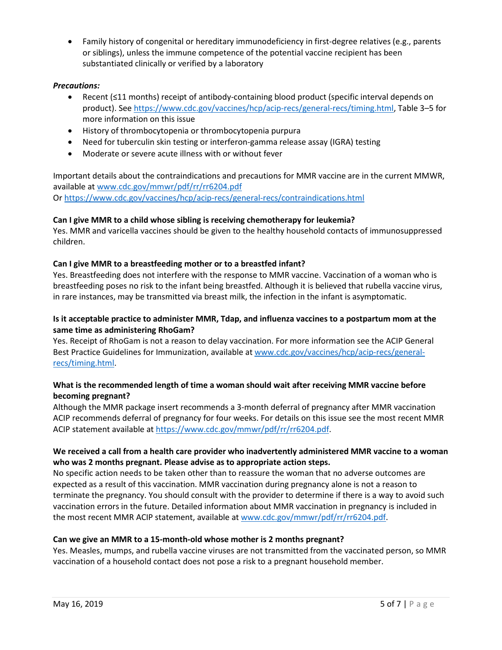• Family history of congenital or hereditary immunodeficiency in first-degree relatives (e.g., parents or siblings), unless the immune competence of the potential vaccine recipient has been substantiated clinically or verified by a laboratory

# *Precautions:*

- Recent (≤11 months) receipt of antibody-containing blood product (specific interval depends on product). See [https://www.cdc.gov/vaccines/hcp/acip-recs/general-recs/timing.html,](https://www.cdc.gov/vaccines/hcp/acip-recs/general-recs/timing.html) Table 3–5 for more information on this issue
- History of thrombocytopenia or thrombocytopenia purpura
- Need for tuberculin skin testing or interferon-gamma release assay (IGRA) testing
- Moderate or severe acute illness with or without fever

Important details about the contraindications and precautions for MMR vaccine are in the current MMWR, available at [www.cdc.gov/mmwr/pdf/rr/rr6204.pdf](http://www.cdc.gov/mmwr/pdf/rr/rr6204.pdf) Or<https://www.cdc.gov/vaccines/hcp/acip-recs/general-recs/contraindications.html>

# **Can I give MMR to a child whose sibling is receiving chemotherapy for leukemia?**

Yes. MMR and varicella vaccines should be given to the healthy household contacts of immunosuppressed children.

# **Can I give MMR to a breastfeeding mother or to a breastfed infant?**

Yes. Breastfeeding does not interfere with the response to MMR vaccine. Vaccination of a woman who is breastfeeding poses no risk to the infant being breastfed. Although it is believed that rubella vaccine virus, in rare instances, may be transmitted via breast milk, the infection in the infant is asymptomatic.

# **Is it acceptable practice to administer MMR, Tdap, and influenza vaccines to a postpartum mom at the same time as administering RhoGam?**

Yes. Receipt of RhoGam is not a reason to delay vaccination. For more information see the ACIP General Best Practice Guidelines for Immunization, available a[t www.cdc.gov/vaccines/hcp/acip-recs/general](http://www.cdc.gov/vaccines/hcp/acip-recs/general-recs/timing.html)[recs/timing.html.](http://www.cdc.gov/vaccines/hcp/acip-recs/general-recs/timing.html)

# **What is the recommended length of time a woman should wait after receiving MMR vaccine before becoming pregnant?**

Although the MMR package insert recommends a 3-month deferral of pregnancy after MMR vaccination ACIP recommends deferral of pregnancy for four weeks. For details on this issue see the most recent MMR ACIP statement available at [https://www.cdc.gov/mmwr/pdf/rr/rr6204.pdf.](https://www.cdc.gov/mmwr/pdf/rr/rr6204.pdf)

# **We received a call from a health care provider who inadvertently administered MMR vaccine to a woman who was 2 months pregnant. Please advise as to appropriate action steps.**

No specific action needs to be taken other than to reassure the woman that no adverse outcomes are expected as a result of this vaccination. MMR vaccination during pregnancy alone is not a reason to terminate the pregnancy. You should consult with the provider to determine if there is a way to avoid such vaccination errors in the future. Detailed information about MMR vaccination in pregnancy is included in the most recent MMR ACIP statement, available at [www.cdc.gov/mmwr/pdf/rr/rr6204.pdf.](http://www.cdc.gov/mmwr/pdf/rr/rr6204.pdf)

#### **Can we give an MMR to a 15-month-old whose mother is 2 months pregnant?**

Yes. Measles, mumps, and rubella vaccine viruses are not transmitted from the vaccinated person, so MMR vaccination of a household contact does not pose a risk to a pregnant household member.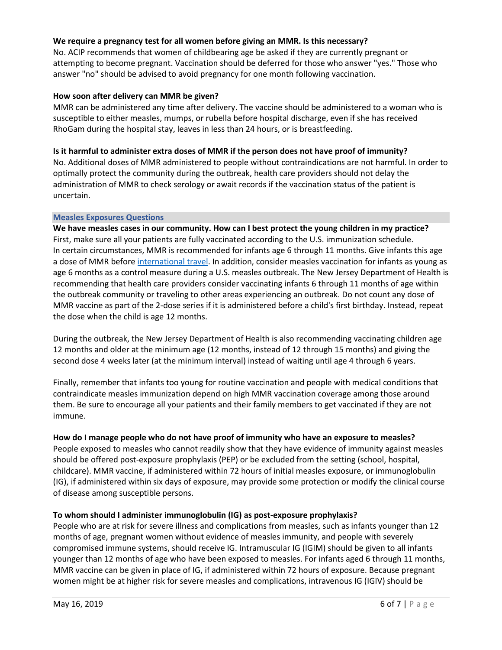#### **We require a pregnancy test for all women before giving an MMR. Is this necessary?**

No. ACIP recommends that women of childbearing age be asked if they are currently pregnant or attempting to become pregnant. Vaccination should be deferred for those who answer "yes." Those who answer "no" should be advised to avoid pregnancy for one month following vaccination.

#### **How soon after delivery can MMR be given?**

MMR can be administered any time after delivery. The vaccine should be administered to a woman who is susceptible to either measles, mumps, or rubella before hospital discharge, even if she has received RhoGam during the hospital stay, leaves in less than 24 hours, or is breastfeeding.

# **Is it harmful to administer extra doses of MMR if the person does not have proof of immunity?**

No. Additional doses of MMR administered to people without contraindications are not harmful. In order to optimally protect the community during the outbreak, health care providers should not delay the administration of MMR to check serology or await records if the vaccination status of the patient is uncertain.

#### **Measles Exposures Questions**

**We have measles cases in our community. How can I best protect the young children in my practice?** First, make sure all your patients are fully vaccinated according to the U.S. immunization schedule. In certain circumstances, MMR is recommended for infants age 6 through 11 months. Give infants this age a dose of MMR before [international travel.](https://www.cdc.gov/measles/travelers.html) In addition, consider measles vaccination for infants as young as age 6 months as a control measure during a U.S. measles outbreak. The New Jersey Department of Health is recommending that health care providers consider vaccinating infants 6 through 11 months of age within the outbreak community or traveling to other areas experiencing an outbreak. Do not count any dose of MMR vaccine as part of the 2-dose series if it is administered before a child's first birthday. Instead, repeat the dose when the child is age 12 months.

During the outbreak, the New Jersey Department of Health is also recommending vaccinating children age 12 months and older at the minimum age (12 months, instead of 12 through 15 months) and giving the second dose 4 weeks later (at the minimum interval) instead of waiting until age 4 through 6 years.

Finally, remember that infants too young for routine vaccination and people with medical conditions that contraindicate measles immunization depend on high MMR vaccination coverage among those around them. Be sure to encourage all your patients and their family members to get vaccinated if they are not immune.

# **How do I manage people who do not have proof of immunity who have an exposure to measles?**

People exposed to measles who cannot readily show that they have evidence of immunity against measles should be offered post-exposure prophylaxis (PEP) or be excluded from the setting (school, hospital, childcare). MMR vaccine, if administered within 72 hours of initial measles exposure, or immunoglobulin (IG), if administered within six days of exposure, may provide some protection or modify the clinical course of disease among susceptible persons.

#### **To whom should I administer immunoglobulin (IG) as post-exposure prophylaxis?**

People who are at risk for severe illness and complications from measles, such as infants younger than 12 months of age, pregnant women without evidence of measles immunity, and people with severely compromised immune systems, should receive IG. Intramuscular IG (IGIM) should be given to all infants younger than 12 months of age who have been exposed to measles. For infants aged 6 through 11 months, MMR vaccine can be given in place of IG, if administered within 72 hours of exposure. Because pregnant women might be at higher risk for severe measles and complications, intravenous IG (IGIV) should be